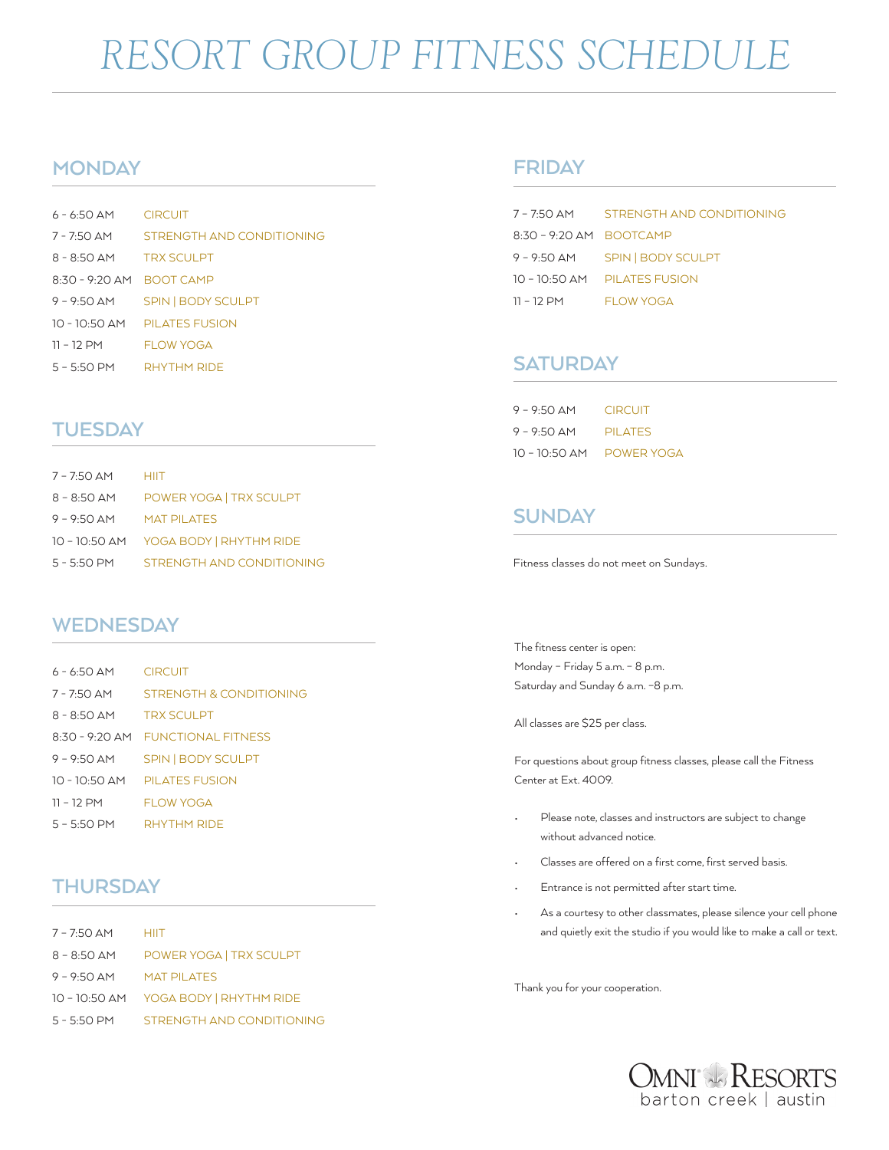## *RESORT GROUP FITNESS SCHEDULE*

## **MONDAY**

| $6 - 6.50$ AM CIRCUIT     |                              |
|---------------------------|------------------------------|
| $7 - 7:50$ AM             | STRENGTH AND CONDITIONING    |
| 8 - 8:50 AM TRX SCULPT    |                              |
| 8:30 - 9:20 AM BOOT CAMP  |                              |
| $9 - 9:50$ AM             | SPIN   BODY SCULPT           |
|                           | 10 - 10:50 AM PILATES FUSION |
| $11 - 12$ PM              | <b>FLOW YOGA</b>             |
| $5 - 5:50$ PM RHYTHM RIDE |                              |

## **TUESDAY**

| 7 - 7:50 AM   | <b>HIIT</b>                         |
|---------------|-------------------------------------|
| 8 - 8:50 AM   | POWER YOGA   TRX SCULPT             |
| $9 - 9:50$ AM | <b>MAT PILATES</b>                  |
|               | 10 - 10:50 AM YOGA BODY RHYTHM RIDE |
| 5 - 5:50 PM   | STRENGTH AND CONDITIONING           |
|               |                                     |

## **WEDNESDAY**

| 6 - 6:50 AM   | <b>CIRCUIT</b>                    |
|---------------|-----------------------------------|
| 7 - 7:50 AM   | STRENGTH & CONDITIONING           |
| $8 - 8:50$ AM | <b>TRX SCULPT</b>                 |
|               | 8:30 - 9:20 AM FUNCTIONAL FITNESS |
| 9 – 9:50 AM   | <b>SPIN   BODY SCULPT</b>         |
|               | 10 - 10:50 AM PILATES FUSION      |
| 11 - 12 PM    | <b>FLOW YOGA</b>                  |
| $5 - 5:50$ PM | RHYTHM RIDE                       |

## **THURSDAY**

| $7 - 7:50$ AM HIIT |                                       |
|--------------------|---------------------------------------|
| $8 - 8:50$ AM      | POWER YOGA   TRX SCULPT               |
| $9 - 9:50$ AM      | <b>MAT PILATES</b>                    |
|                    | 10 - 10:50 AM YOGA BODY   RHYTHM RIDE |
| $5 - 5:50$ PM      | STRENGTH AND CONDITIONING             |

### **FRIDAY**

| 7 – 7:50 AM             | STRENGTH AND CONDITIONING      |
|-------------------------|--------------------------------|
| 8:30 - 9:20 AM BOOTCAMP |                                |
|                         | 9 - 9:50 AM SPIN   BODY SCULPT |
|                         | 10 - 10:50 AM PILATES FUSION   |
| $11 - 12$ PM            | FLOW YOGA                      |

## **SATURDAY**

| $9 - 9:50$ AM   | <b>CIRCUIT</b> |
|-----------------|----------------|
| $9 - 9:50$ AM   | <b>PILATES</b> |
| $10 - 10:50$ AM | POWER YOGA     |

## **SUNDAY**

Fitness classes do not meet on Sundays.

The fitness center is open: Monday – Friday 5 a.m. – 8 p.m. Saturday and Sunday 6 a.m. –8 p.m.

All classes are \$25 per class.

For questions about group fitness classes, please call the Fitness Center at Ext. 4009.

- Please note, classes and instructors are subject to change without advanced notice.
- Classes are offered on a first come, first served basis.
- Entrance is not permitted after start time.
- As a courtesy to other classmates, please silence your cell phone and quietly exit the studio if you would like to make a call or text.

Thank you for your cooperation.